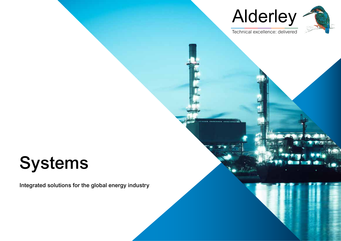



Technical excellence: delivered

**\*\*\*\*\*\*\*** 

# Systems

Integrated solutions for the global energy industry